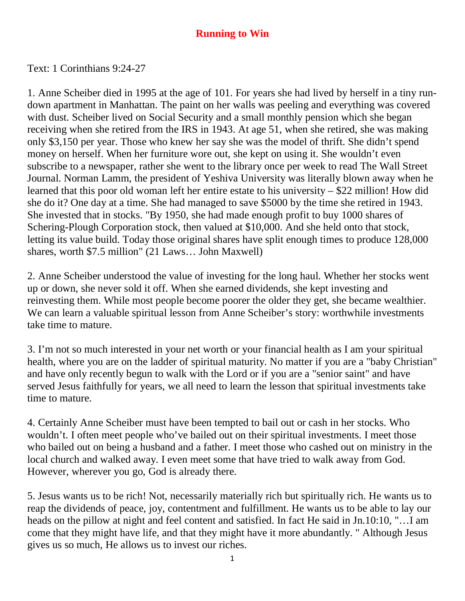## **Running to Win**

Text: 1 Corinthians 9:24-27

1. Anne Scheiber died in 1995 at the age of 101. For years she had lived by herself in a tiny rundown apartment in Manhattan. The paint on her walls was peeling and everything was covered with dust. Scheiber lived on Social Security and a small monthly pension which she began receiving when she retired from the IRS in 1943. At age 51, when she retired, she was making only \$3,150 per year. Those who knew her say she was the model of thrift. She didn't spend money on herself. When her furniture wore out, she kept on using it. She wouldn't even subscribe to a newspaper, rather she went to the library once per week to read The Wall Street Journal. Norman Lamm, the president of Yeshiva University was literally blown away when he learned that this poor old woman left her entire estate to his university – \$22 million! How did she do it? One day at a time. She had managed to save \$5000 by the time she retired in 1943. She invested that in stocks. "By 1950, she had made enough profit to buy 1000 shares of Schering-Plough Corporation stock, then valued at \$10,000. And she held onto that stock, letting its value build. Today those original shares have split enough times to produce 128,000 shares, worth \$7.5 million" (21 Laws… John Maxwell)

2. Anne Scheiber understood the value of investing for the long haul. Whether her stocks went up or down, she never sold it off. When she earned dividends, she kept investing and reinvesting them. While most people become poorer the older they get, she became wealthier. We can learn a valuable spiritual lesson from Anne Scheiber's story: worthwhile investments take time to mature.

3. I'm not so much interested in your net worth or your financial health as I am your spiritual health, where you are on the ladder of spiritual maturity. No matter if you are a "baby Christian" and have only recently begun to walk with the Lord or if you are a "senior saint" and have served Jesus faithfully for years, we all need to learn the lesson that spiritual investments take time to mature.

4. Certainly Anne Scheiber must have been tempted to bail out or cash in her stocks. Who wouldn't. I often meet people who've bailed out on their spiritual investments. I meet those who bailed out on being a husband and a father. I meet those who cashed out on ministry in the local church and walked away. I even meet some that have tried to walk away from God. However, wherever you go, God is already there.

5. Jesus wants us to be rich! Not, necessarily materially rich but spiritually rich. He wants us to reap the dividends of peace, joy, contentment and fulfillment. He wants us to be able to lay our heads on the pillow at night and feel content and satisfied. In fact He said in Jn.10:10, "…I am come that they might have life, and that they might have it more abundantly. " Although Jesus gives us so much, He allows us to invest our riches.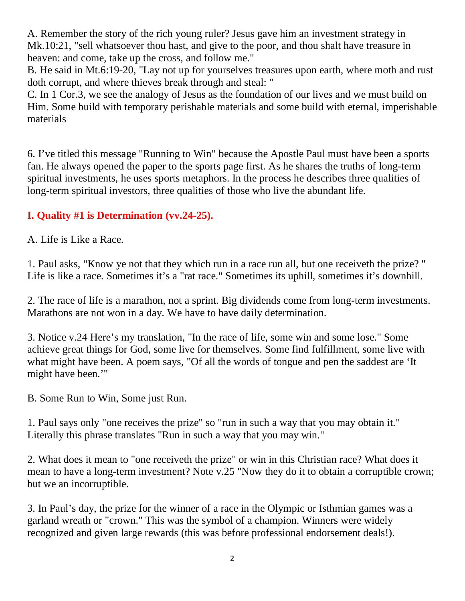A. Remember the story of the rich young ruler? Jesus gave him an investment strategy in Mk.10:21, "sell whatsoever thou hast, and give to the poor, and thou shalt have treasure in heaven: and come, take up the cross, and follow me."

B. He said in Mt.6:19-20, "Lay not up for yourselves treasures upon earth, where moth and rust doth corrupt, and where thieves break through and steal: "

C. In 1 Cor.3, we see the analogy of Jesus as the foundation of our lives and we must build on Him. Some build with temporary perishable materials and some build with eternal, imperishable materials

6. I've titled this message "Running to Win" because the Apostle Paul must have been a sports fan. He always opened the paper to the sports page first. As he shares the truths of long-term spiritual investments, he uses sports metaphors. In the process he describes three qualities of long-term spiritual investors, three qualities of those who live the abundant life.

## **I. Quality #1 is Determination (vv.24-25).**

A. Life is Like a Race.

1. Paul asks, "Know ye not that they which run in a race run all, but one receiveth the prize? " Life is like a race. Sometimes it's a "rat race." Sometimes its uphill, sometimes it's downhill.

2. The race of life is a marathon, not a sprint. Big dividends come from long-term investments. Marathons are not won in a day. We have to have daily determination.

3. Notice v.24 Here's my translation, "In the race of life, some win and some lose." Some achieve great things for God, some live for themselves. Some find fulfillment, some live with what might have been. A poem says, "Of all the words of tongue and pen the saddest are 'It might have been.'"

B. Some Run to Win, Some just Run.

1. Paul says only "one receives the prize" so "run in such a way that you may obtain it." Literally this phrase translates "Run in such a way that you may win."

2. What does it mean to "one receiveth the prize" or win in this Christian race? What does it mean to have a long-term investment? Note v.25 "Now they do it to obtain a corruptible crown; but we an incorruptible.

3. In Paul's day, the prize for the winner of a race in the Olympic or Isthmian games was a garland wreath or "crown." This was the symbol of a champion. Winners were widely recognized and given large rewards (this was before professional endorsement deals!).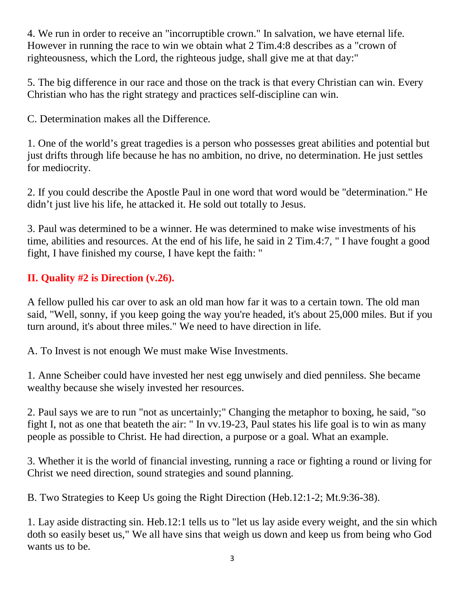4. We run in order to receive an "incorruptible crown." In salvation, we have eternal life. However in running the race to win we obtain what 2 Tim.4:8 describes as a "crown of righteousness, which the Lord, the righteous judge, shall give me at that day:"

5. The big difference in our race and those on the track is that every Christian can win. Every Christian who has the right strategy and practices self-discipline can win.

C. Determination makes all the Difference.

1. One of the world's great tragedies is a person who possesses great abilities and potential but just drifts through life because he has no ambition, no drive, no determination. He just settles for mediocrity.

2. If you could describe the Apostle Paul in one word that word would be "determination." He didn't just live his life, he attacked it. He sold out totally to Jesus.

3. Paul was determined to be a winner. He was determined to make wise investments of his time, abilities and resources. At the end of his life, he said in 2 Tim.4:7, " I have fought a good fight, I have finished my course, I have kept the faith: "

## **II. Quality #2 is Direction (v.26).**

A fellow pulled his car over to ask an old man how far it was to a certain town. The old man said, "Well, sonny, if you keep going the way you're headed, it's about 25,000 miles. But if you turn around, it's about three miles." We need to have direction in life.

A. To Invest is not enough We must make Wise Investments.

1. Anne Scheiber could have invested her nest egg unwisely and died penniless. She became wealthy because she wisely invested her resources.

2. Paul says we are to run "not as uncertainly;" Changing the metaphor to boxing, he said, "so fight I, not as one that beateth the air: " In vv.19-23, Paul states his life goal is to win as many people as possible to Christ. He had direction, a purpose or a goal. What an example.

3. Whether it is the world of financial investing, running a race or fighting a round or living for Christ we need direction, sound strategies and sound planning.

B. Two Strategies to Keep Us going the Right Direction (Heb.12:1-2; Mt.9:36-38).

1. Lay aside distracting sin. Heb.12:1 tells us to "let us lay aside every weight, and the sin which doth so easily beset us," We all have sins that weigh us down and keep us from being who God wants us to be.